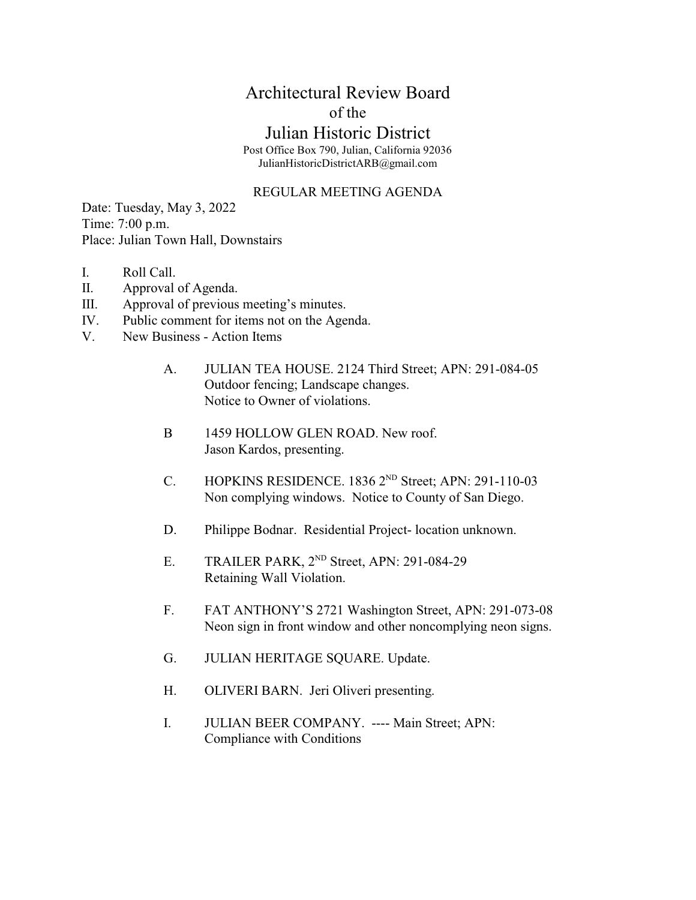## Architectural Review Board of the

## Julian Historic District

Post Office Box 790, Julian, California 92036 JulianHistoricDistrictARB@gmail.com

## REGULAR MEETING AGENDA

Date: Tuesday, May 3, 2022 Time: 7:00 p.m. Place: Julian Town Hall, Downstairs

- I. Roll Call.
- II. Approval of Agenda.
- III. Approval of previous meeting's minutes.
- IV. Public comment for items not on the Agenda.
- V. New Business Action Items
	- A. JULIAN TEA HOUSE. 2124 Third Street; APN: 291-084-05 Outdoor fencing; Landscape changes. Notice to Owner of violations.
	- B 1459 HOLLOW GLEN ROAD. New roof. Jason Kardos, presenting.
	- C. HOPKINS RESIDENCE.  $1836\ 2^{ND}$  Street; APN: 291-110-03 Non complying windows. Notice to County of San Diego.
	- D. Philippe Bodnar. Residential Project- location unknown.
	- E. TRAILER PARK,  $2^{ND}$  Street, APN: 291-084-29 Retaining Wall Violation.
	- F. FAT ANTHONY'S 2721 Washington Street, APN: 291-073-08 Neon sign in front window and other noncomplying neon signs.
	- G. JULIAN HERITAGE SQUARE. Update.
	- H. OLIVERI BARN. Jeri Oliveri presenting.
	- I. JULIAN BEER COMPANY. ---- Main Street; APN: Compliance with Conditions